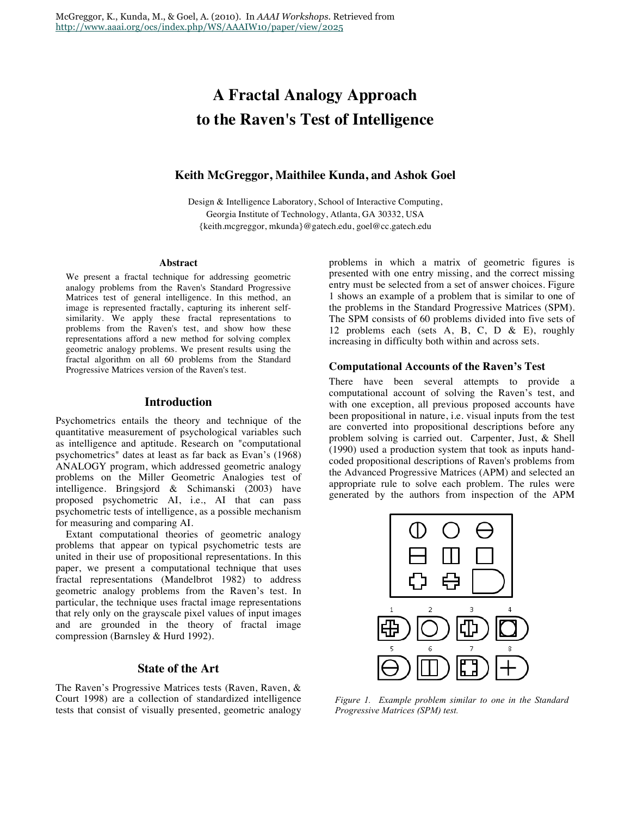# **A Fractal Analogy Approach to the Raven's Test of Intelligence**

# **Keith McGreggor, Maithilee Kunda, and Ashok Goel**

Design & Intelligence Laboratory, School of Interactive Computing, Georgia Institute of Technology, Atlanta, GA 30332, USA {keith.mcgreggor, mkunda}@gatech.edu, goel@cc.gatech.edu

#### **Abstract**

We present a fractal technique for addressing geometric analogy problems from the Raven's Standard Progressive Matrices test of general intelligence. In this method, an image is represented fractally, capturing its inherent selfsimilarity. We apply these fractal representations to problems from the Raven's test, and show how these representations afford a new method for solving complex geometric analogy problems. We present results using the fractal algorithm on all 60 problems from the Standard Progressive Matrices version of the Raven's test.

# **Introduction**

Psychometrics entails the theory and technique of the quantitative measurement of psychological variables such as intelligence and aptitude. Research on "computational psychometrics" dates at least as far back as Evan's (1968) ANALOGY program, which addressed geometric analogy problems on the Miller Geometric Analogies test of intelligence. Bringsjord & Schimanski (2003) have proposed psychometric AI, i.e., AI that can pass psychometric tests of intelligence, as a possible mechanism for measuring and comparing AI.

Extant computational theories of geometric analogy problems that appear on typical psychometric tests are united in their use of propositional representations. In this paper, we present a computational technique that uses fractal representations (Mandelbrot 1982) to address geometric analogy problems from the Raven's test. In particular, the technique uses fractal image representations that rely only on the grayscale pixel values of input images and are grounded in the theory of fractal image compression (Barnsley & Hurd 1992).

#### **State of the Art**

The Raven's Progressive Matrices tests (Raven, Raven, & Court 1998) are a collection of standardized intelligence tests that consist of visually presented, geometric analogy problems in which a matrix of geometric figures is presented with one entry missing, and the correct missing entry must be selected from a set of answer choices. Figure 1 shows an example of a problem that is similar to one of the problems in the Standard Progressive Matrices (SPM). The SPM consists of 60 problems divided into five sets of 12 problems each (sets A, B, C, D & E), roughly increasing in difficulty both within and across sets.

#### **Computational Accounts of the Raven's Test**

There have been several attempts to provide a computational account of solving the Raven's test, and with one exception, all previous proposed accounts have been propositional in nature, i.e. visual inputs from the test are converted into propositional descriptions before any problem solving is carried out. Carpenter, Just, & Shell (1990) used a production system that took as inputs handcoded propositional descriptions of Raven's problems from the Advanced Progressive Matrices (APM) and selected an appropriate rule to solve each problem. The rules were generated by the authors from inspection of the APM



*Figure 1. Example problem similar to one in the Standard Progressive Matrices (SPM) test.*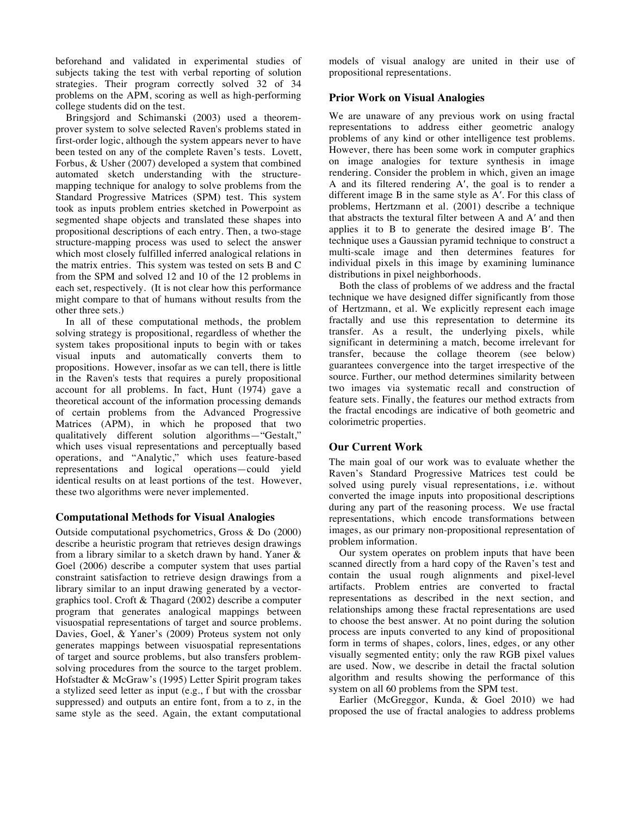beforehand and validated in experimental studies of subjects taking the test with verbal reporting of solution strategies. Their program correctly solved 32 of 34 problems on the APM, scoring as well as high-performing college students did on the test.

Bringsjord and Schimanski (2003) used a theoremprover system to solve selected Raven's problems stated in first-order logic, although the system appears never to have been tested on any of the complete Raven's tests. Lovett, Forbus, & Usher (2007) developed a system that combined automated sketch understanding with the structuremapping technique for analogy to solve problems from the Standard Progressive Matrices (SPM) test. This system took as inputs problem entries sketched in Powerpoint as segmented shape objects and translated these shapes into propositional descriptions of each entry. Then, a two-stage structure-mapping process was used to select the answer which most closely fulfilled inferred analogical relations in the matrix entries. This system was tested on sets B and C from the SPM and solved 12 and 10 of the 12 problems in each set, respectively. (It is not clear how this performance might compare to that of humans without results from the other three sets.)

In all of these computational methods, the problem solving strategy is propositional, regardless of whether the system takes propositional inputs to begin with or takes visual inputs and automatically converts them to propositions. However, insofar as we can tell, there is little in the Raven's tests that requires a purely propositional account for all problems. In fact, Hunt (1974) gave a theoretical account of the information processing demands of certain problems from the Advanced Progressive Matrices (APM), in which he proposed that two qualitatively different solution algorithms—"Gestalt," which uses visual representations and perceptually based operations, and "Analytic," which uses feature-based representations and logical operations—could yield identical results on at least portions of the test. However, these two algorithms were never implemented.

#### **Computational Methods for Visual Analogies**

Outside computational psychometrics, Gross & Do (2000) describe a heuristic program that retrieves design drawings from a library similar to a sketch drawn by hand. Yaner & Goel (2006) describe a computer system that uses partial constraint satisfaction to retrieve design drawings from a library similar to an input drawing generated by a vectorgraphics tool. Croft & Thagard (2002) describe a computer program that generates analogical mappings between visuospatial representations of target and source problems. Davies, Goel, & Yaner's (2009) Proteus system not only generates mappings between visuospatial representations of target and source problems, but also transfers problemsolving procedures from the source to the target problem. Hofstadter & McGraw's (1995) Letter Spirit program takes a stylized seed letter as input (e.g., f but with the crossbar suppressed) and outputs an entire font, from a to z, in the same style as the seed. Again, the extant computational models of visual analogy are united in their use of propositional representations.

#### **Prior Work on Visual Analogies**

We are unaware of any previous work on using fractal representations to address either geometric analogy problems of any kind or other intelligence test problems. However, there has been some work in computer graphics on image analogies for texture synthesis in image rendering. Consider the problem in which, given an image A and its filtered rendering A′, the goal is to render a different image B in the same style as A′. For this class of problems, Hertzmann et al. (2001) describe a technique that abstracts the textural filter between A and A′ and then applies it to B to generate the desired image B′. The technique uses a Gaussian pyramid technique to construct a multi-scale image and then determines features for individual pixels in this image by examining luminance distributions in pixel neighborhoods.

Both the class of problems of we address and the fractal technique we have designed differ significantly from those of Hertzmann, et al. We explicitly represent each image fractally and use this representation to determine its transfer. As a result, the underlying pixels, while significant in determining a match, become irrelevant for transfer, because the collage theorem (see below) guarantees convergence into the target irrespective of the source. Further, our method determines similarity between two images via systematic recall and construction of feature sets. Finally, the features our method extracts from the fractal encodings are indicative of both geometric and colorimetric properties.

#### **Our Current Work**

The main goal of our work was to evaluate whether the Raven's Standard Progressive Matrices test could be solved using purely visual representations, i.e. without converted the image inputs into propositional descriptions during any part of the reasoning process. We use fractal representations, which encode transformations between images, as our primary non-propositional representation of problem information.

Our system operates on problem inputs that have been scanned directly from a hard copy of the Raven's test and contain the usual rough alignments and pixel-level artifacts. Problem entries are converted to fractal representations as described in the next section, and relationships among these fractal representations are used to choose the best answer. At no point during the solution process are inputs converted to any kind of propositional form in terms of shapes, colors, lines, edges, or any other visually segmented entity; only the raw RGB pixel values are used. Now, we describe in detail the fractal solution algorithm and results showing the performance of this system on all 60 problems from the SPM test.

Earlier (McGreggor, Kunda, & Goel 2010) we had proposed the use of fractal analogies to address problems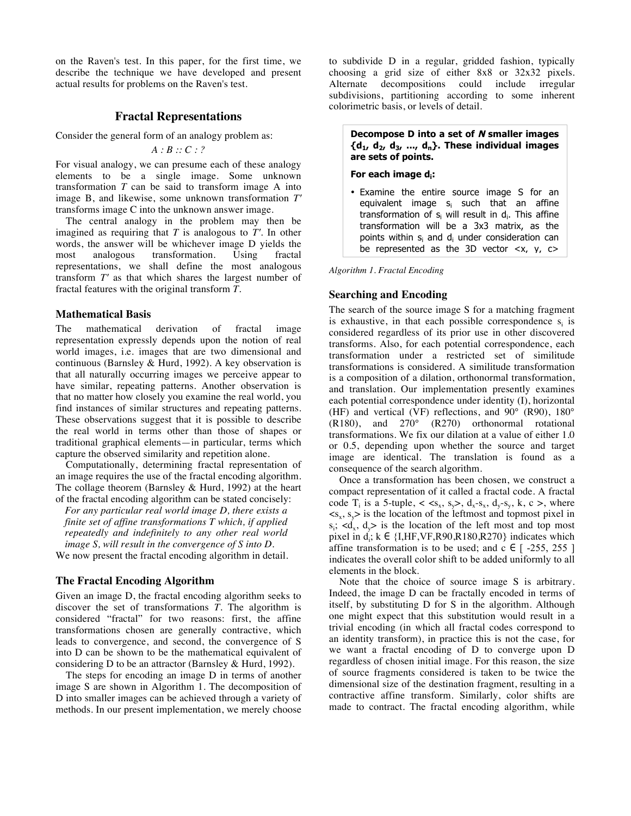on the Raven's test. In this paper, for the first time, we describe the technique we have developed and present actual results for problems on the Raven's test.

### **Fractal Representations**

Consider the general form of an analogy problem as:

*A : B :: C : ?*

For visual analogy, we can presume each of these analogy elements to be a single image. Some unknown transformation *T* can be said to transform image A into image B, and likewise, some unknown transformation *T′* transforms image C into the unknown answer image.

The central analogy in the problem may then be imagined as requiring that *T* is analogous to *T′*. In other words, the answer will be whichever image D yields the most analogous transformation. Using fractal representations, we shall define the most analogous transform *T′* as that which shares the largest number of fractal features with the original transform *T*.

#### **Mathematical Basis**

The mathematical derivation of fractal image representation expressly depends upon the notion of real world images, i.e. images that are two dimensional and continuous (Barnsley & Hurd, 1992). A key observation is that all naturally occurring images we perceive appear to have similar, repeating patterns. Another observation is that no matter how closely you examine the real world, you find instances of similar structures and repeating patterns. These observations suggest that it is possible to describe the real world in terms other than those of shapes or traditional graphical elements—in particular, terms which capture the observed similarity and repetition alone.

Computationally, determining fractal representation of an image requires the use of the fractal encoding algorithm. The collage theorem (Barnsley & Hurd, 1992) at the heart of the fractal encoding algorithm can be stated concisely:

*For any particular real world image D, there exists a finite set of affine transformations T which, if applied repeatedly and indefinitely to any other real world image S, will result in the convergence of S into D.*

We now present the fractal encoding algorithm in detail.

#### **The Fractal Encoding Algorithm**

Given an image D, the fractal encoding algorithm seeks to discover the set of transformations  $\overline{T}$ . The algorithm is considered "fractal" for two reasons: first, the affine transformations chosen are generally contractive, which leads to convergence, and second, the convergence of S into D can be shown to be the mathematical equivalent of considering D to be an attractor (Barnsley & Hurd, 1992).

The steps for encoding an image D in terms of another image S are shown in Algorithm 1. The decomposition of D into smaller images can be achieved through a variety of methods. In our present implementation, we merely choose

to subdivide D in a regular, gridded fashion, typically choosing a grid size of either 8x8 or 32x32 pixels. Alternate decompositions could include irregular subdivisions, partitioning according to some inherent colorimetric basis, or levels of detail.

#### **Decompose D into a set of N smaller images {d1, d2, d3, ..., dn}. These individual images are sets of points.**

#### **For each image di:**

• Examine the entire source image S for an equivalent image s<sub>i</sub> such that an affine transformation of  $s_i$  will result in  $d_i$ . This affine transformation will be a 3x3 matrix, as the points within s<sub>i</sub> and d<sub>i</sub> under consideration can be represented as the 3D vector <x, y, c>

Algorithm 1. Fractal Encoding

# **Searching and Encoding**

The search of the source image S for a matching fragment is exhaustive, in that each possible correspondence  $s_i$  is  $\frac{1}{2}$  considered regardless of its prior use in other discovered transforms. Also, for each potential correspondence, each transformation under a restricted set of similitude transformations is considered. A similitude transformation is a composition of a dilation, orthonormal transformation, and translation. Our implementation presently examines each potential correspondence under identity (I), horizontal (HF) and vertical (VF) reflections, and 90° (R90), 180° (R180), and 270° (R270) orthonormal rotational transformations. We fix our dilation at a value of either 1.0 or 0.5, depending upon whether the source and target image are identical. The translation is found as a consequence of the search algorithm.

Once a transformation has been chosen, we construct a compact representation of it called a fractal code. A fractal code T<sub>i</sub> is a 5-tuple,  $\langle s_x, s_y \rangle$ ,  $d_x - s_x$ ,  $d_y - s_y$ ,  $k, c \rangle$ , where  $\langle s_x, s_y \rangle$  is the location of the leftmost and topmost pixel in  $s_i$ ; <d<sub>x</sub>, d<sub>y</sub>> is the location of the left most and top most pixel in  $d_i$ ;  $k \in \{I, HF, VF, R90, R180, R270\}$  indicates which affine transformation is to be used; and c  $\in$  [ -255, 255 ] indicates the overall color shift to be added uniformly to all elements in the block.

Note that the choice of source image S is arbitrary. Indeed, the image D can be fractally encoded in terms of itself, by substituting D for S in the algorithm. Although one might expect that this substitution would result in a trivial encoding (in which all fractal codes correspond to an identity transform), in practice this is not the case, for we want a fractal encoding of D to converge upon D regardless of chosen initial image. For this reason, the size of source fragments considered is taken to be twice the dimensional size of the destination fragment, resulting in a contractive affine transform. Similarly, color shifts are made to contract. The fractal encoding algorithm, while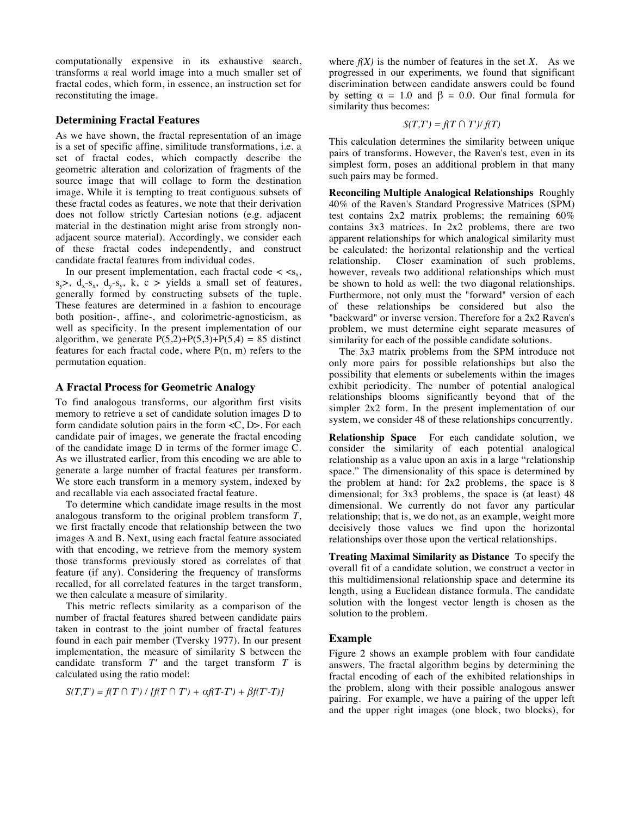computationally expensive in its exhaustive search, transforms a real world image into a much smaller set of fractal codes, which form, in essence, an instruction set for reconstituting the image.

#### **Determining Fractal Features**

As we have shown, the fractal representation of an image is a set of specific affine, similitude transformations, i.e. a set of fractal codes, which compactly describe the geometric alteration and colorization of fragments of the source image that will collage to form the destination image. While it is tempting to treat contiguous subsets of these fractal codes as features, we note that their derivation does not follow strictly Cartesian notions (e.g. adjacent material in the destination might arise from strongly nonadjacent source material). Accordingly, we consider each of these fractal codes independently, and construct candidate fractal features from individual codes.

In our present implementation, each fractal code  $\langle \, \langle s_{x}, \, \rangle$  $s_y$ ,  $d_x-s_x$ ,  $d_y-s_y$ , k, c > yields a small set of features, generally formed by constructing subsets of the tuple. These features are determined in a fashion to encourage both position-, affine-, and colorimetric-agnosticism, as well as specificity. In the present implementation of our algorithm, we generate  $P(5,2)+P(5,3)+P(5,4) = 85$  distinct features for each fractal code, where P(n, m) refers to the permutation equation.

#### **A Fractal Process for Geometric Analogy**

To find analogous transforms, our algorithm first visits memory to retrieve a set of candidate solution images D to form candidate solution pairs in the form <C, D>. For each candidate pair of images, we generate the fractal encoding of the candidate image D in terms of the former image C. As we illustrated earlier, from this encoding we are able to generate a large number of fractal features per transform. We store each transform in a memory system, indexed by and recallable via each associated fractal feature.

To determine which candidate image results in the most analogous transform to the original problem transform *T*, we first fractally encode that relationship between the two images A and B. Next, using each fractal feature associated with that encoding, we retrieve from the memory system those transforms previously stored as correlates of that feature (if any). Considering the frequency of transforms recalled, for all correlated features in the target transform, we then calculate a measure of similarity.

This metric reflects similarity as a comparison of the number of fractal features shared between candidate pairs taken in contrast to the joint number of fractal features found in each pair member (Tversky 1977). In our present implementation, the measure of similarity S between the candidate transform *T′* and the target transform *T* is calculated using the ratio model:

$$
S(T,T') = f(T \cap T') / [f(T \cap T') + \alpha f(T-T') + \beta f(T-T)]
$$

where  $f(X)$  is the number of features in the set  $X$ . As we progressed in our experiments, we found that significant discrimination between candidate answers could be found by setting  $\alpha = 1.0$  and  $\beta = 0.0$ . Our final formula for similarity thus becomes:

$$
S(T,T') = f(T \cap T')/f(T)
$$

This calculation determines the similarity between unique pairs of transforms. However, the Raven's test, even in its simplest form, poses an additional problem in that many such pairs may be formed.

**Reconciling Multiple Analogical Relationships** Roughly 40% of the Raven's Standard Progressive Matrices (SPM) test contains 2x2 matrix problems; the remaining 60% contains 3x3 matrices. In 2x2 problems, there are two apparent relationships for which analogical similarity must be calculated: the horizontal relationship and the vertical relationship. Closer examination of such problems, however, reveals two additional relationships which must be shown to hold as well: the two diagonal relationships. Furthermore, not only must the "forward" version of each of these relationships be considered but also the "backward" or inverse version. Therefore for a 2x2 Raven's problem, we must determine eight separate measures of similarity for each of the possible candidate solutions.

The 3x3 matrix problems from the SPM introduce not only more pairs for possible relationships but also the possibility that elements or subelements within the images exhibit periodicity. The number of potential analogical relationships blooms significantly beyond that of the simpler 2x2 form. In the present implementation of our system, we consider 48 of these relationships concurrently.

**Relationship Space** For each candidate solution, we consider the similarity of each potential analogical relationship as a value upon an axis in a large "relationship space." The dimensionality of this space is determined by the problem at hand: for 2x2 problems, the space is 8 dimensional; for 3x3 problems, the space is (at least) 48 dimensional. We currently do not favor any particular relationship; that is, we do not, as an example, weight more decisively those values we find upon the horizontal relationships over those upon the vertical relationships.

**Treating Maximal Similarity as Distance** To specify the overall fit of a candidate solution, we construct a vector in this multidimensional relationship space and determine its length, using a Euclidean distance formula. The candidate solution with the longest vector length is chosen as the solution to the problem.

#### **Example**

Figure 2 shows an example problem with four candidate answers. The fractal algorithm begins by determining the fractal encoding of each of the exhibited relationships in the problem, along with their possible analogous answer pairing. For example, we have a pairing of the upper left and the upper right images (one block, two blocks), for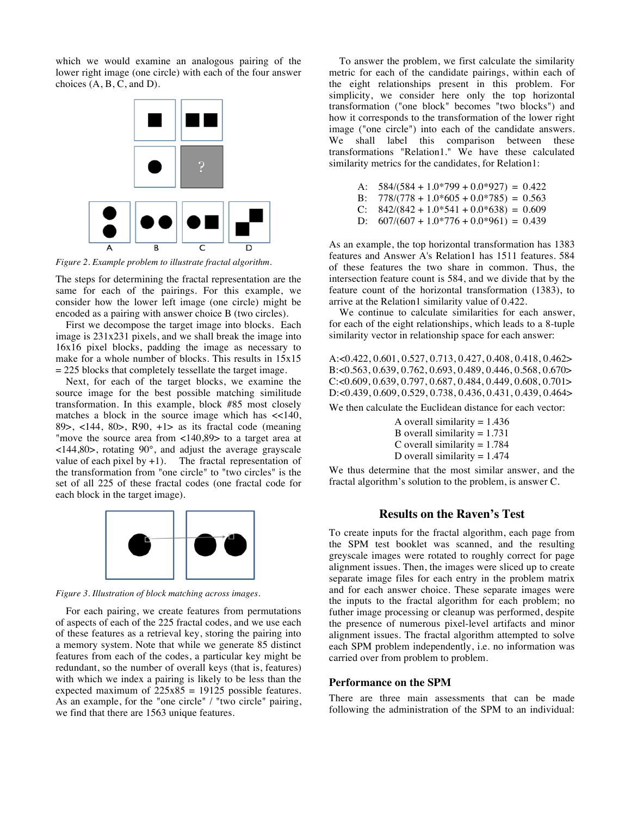which we would examine an analogous pairing of the lower right image (one circle) with each of the four answer choices (A, B, C, and D).



*Figure 2. Example problem to illustrate fractal algorithm.*

The steps for determining the fractal representation are the same for each of the pairings. For this example, we consider how the lower left image (one circle) might be encoded as a pairing with answer choice B (two circles).

First we decompose the target image into blocks. Each image is 231x231 pixels, and we shall break the image into 16x16 pixel blocks, padding the image as necessary to make for a whole number of blocks. This results in 15x15  $= 225$  blocks that completely tessellate the target image.

Next, for each of the target blocks, we examine the source image for the best possible matching similitude transformation. In this example, block #85 most closely matches a block in the source image which has <<140, 89 $>$ , <144, 80 $>$ , R90, +1 $>$  as its fractal code (meaning "move the source area from <140,89> to a target area at  $\langle 144, 80 \rangle$ , rotating 90 $^{\circ}$ , and adjust the average grayscale value of each pixel by  $+1$ ). The fractal representation of the transformation from "one circle" to "two circles" is the set of all 225 of these fractal codes (one fractal code for each block in the target image).



*Figure 3. Illustration of block matching across images.*

For each pairing, we create features from permutations of aspects of each of the 225 fractal codes, and we use each of these features as a retrieval key, storing the pairing into a memory system. Note that while we generate 85 distinct features from each of the codes, a particular key might be redundant, so the number of overall keys (that is, features) with which we index a pairing is likely to be less than the expected maximum of  $225x85 = 19125$  possible features. As an example, for the "one circle" / "two circle" pairing, we find that there are 1563 unique features.

To answer the problem, we first calculate the similarity metric for each of the candidate pairings, within each of the eight relationships present in this problem. For simplicity, we consider here only the top horizontal transformation ("one block" becomes "two blocks") and how it corresponds to the transformation of the lower right image ("one circle") into each of the candidate answers. We shall label this comparison between these transformations "Relation1." We have these calculated similarity metrics for the candidates, for Relation1:

| A: $584/(584 + 1.0*799 + 0.0*927) = 0.422$ |  |  |
|--------------------------------------------|--|--|
|                                            |  |  |

- B:  $778/(778 + 1.0*605 + 0.0*785) = 0.563$
- C:  $842/(842 + 1.0*541 + 0.0*638) = 0.609$ D:  $607/(607 + 1.0*776 + 0.0*961) = 0.439$

As an example, the top horizontal transformation has 1383 features and Answer A's Relation1 has 1511 features. 584 of these features the two share in common. Thus, the intersection feature count is 584, and we divide that by the feature count of the horizontal transformation (1383), to arrive at the Relation1 similarity value of 0.422.

We continue to calculate similarities for each answer, for each of the eight relationships, which leads to a 8-tuple similarity vector in relationship space for each answer:

A:<0.422, 0.601, 0.527, 0.713, 0.427, 0.408, 0.418, 0.462> B:<0.563, 0.639, 0.762, 0.693, 0.489, 0.446, 0.568, 0.670> C:<0.609, 0.639, 0.797, 0.687, 0.484, 0.449, 0.608, 0.701> D:<0.439, 0.609, 0.529, 0.738, 0.436, 0.431, 0.439, 0.464>

We then calculate the Euclidean distance for each vector:

A overall similarity  $= 1.436$ B overall similarity  $= 1.731$ C overall similarity  $= 1.784$ D overall similarity  $= 1.474$ 

We thus determine that the most similar answer, and the fractal algorithm's solution to the problem, is answer C.

#### **Results on the Raven's Test**

To create inputs for the fractal algorithm, each page from the SPM test booklet was scanned, and the resulting greyscale images were rotated to roughly correct for page alignment issues. Then, the images were sliced up to create separate image files for each entry in the problem matrix and for each answer choice. These separate images were the inputs to the fractal algorithm for each problem; no futher image processing or cleanup was performed, despite the presence of numerous pixel-level artifacts and minor alignment issues. The fractal algorithm attempted to solve each SPM problem independently, i.e. no information was carried over from problem to problem.

#### **Performance on the SPM**

There are three main assessments that can be made following the administration of the SPM to an individual: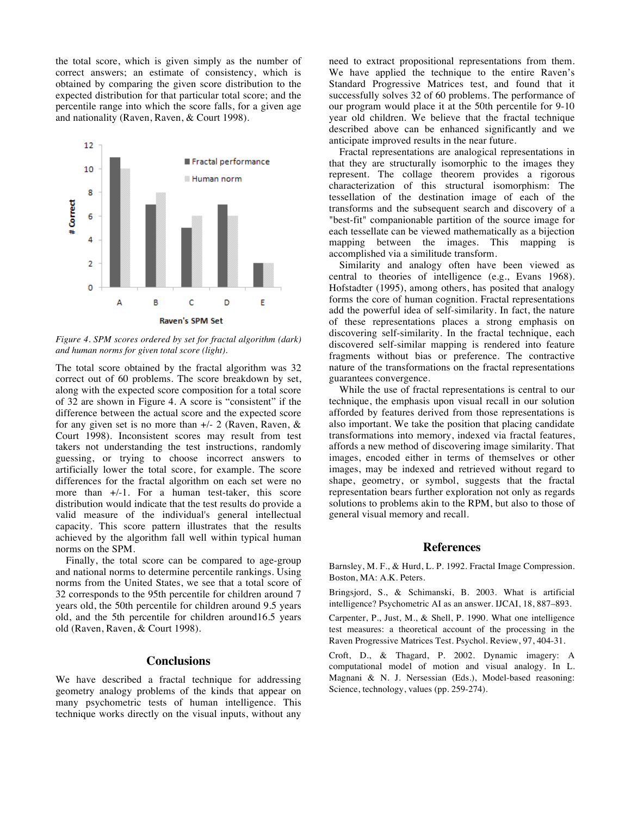the total score, which is given simply as the number of correct answers; an estimate of consistency, which is obtained by comparing the given score distribution to the expected distribution for that particular total score; and the percentile range into which the score falls, for a given age and nationality (Raven, Raven, & Court 1998).



*Figure 4. SPM scores ordered by set for fractal algorithm (dark) and human norms for given total score (light).*

The total score obtained by the fractal algorithm was 32 correct out of 60 problems. The score breakdown by set, along with the expected score composition for a total score of 32 are shown in Figure 4. A score is "consistent" if the difference between the actual score and the expected score for any given set is no more than  $+/- 2$  (Raven, Raven, & Court 1998). Inconsistent scores may result from test takers not understanding the test instructions, randomly guessing, or trying to choose incorrect answers to artificially lower the total score, for example. The score differences for the fractal algorithm on each set were no more than  $+/-1$ . For a human test-taker, this score distribution would indicate that the test results do provide a valid measure of the individual's general intellectual capacity. This score pattern illustrates that the results achieved by the algorithm fall well within typical human norms on the SPM.

Finally, the total score can be compared to age-group and national norms to determine percentile rankings. Using norms from the United States, we see that a total score of 32 corresponds to the 95th percentile for children around 7 years old, the 50th percentile for children around 9.5 years old, and the 5th percentile for children around16.5 years old (Raven, Raven, & Court 1998).

# **Conclusions**

We have described a fractal technique for addressing geometry analogy problems of the kinds that appear on many psychometric tests of human intelligence. This technique works directly on the visual inputs, without any need to extract propositional representations from them. We have applied the technique to the entire Raven's Standard Progressive Matrices test, and found that it successfully solves 32 of 60 problems. The performance of our program would place it at the 50th percentile for 9-10 year old children. We believe that the fractal technique described above can be enhanced significantly and we anticipate improved results in the near future.

Fractal representations are analogical representations in that they are structurally isomorphic to the images they represent. The collage theorem provides a rigorous characterization of this structural isomorphism: The tessellation of the destination image of each of the transforms and the subsequent search and discovery of a "best-fit" companionable partition of the source image for each tessellate can be viewed mathematically as a bijection mapping between the images. This mapping is accomplished via a similitude transform.

Similarity and analogy often have been viewed as central to theories of intelligence (e.g., Evans 1968). Hofstadter (1995), among others, has posited that analogy forms the core of human cognition. Fractal representations add the powerful idea of self-similarity. In fact, the nature of these representations places a strong emphasis on discovering self-similarity. In the fractal technique, each discovered self-similar mapping is rendered into feature fragments without bias or preference. The contractive nature of the transformations on the fractal representations guarantees convergence.

While the use of fractal representations is central to our technique, the emphasis upon visual recall in our solution afforded by features derived from those representations is also important. We take the position that placing candidate transformations into memory, indexed via fractal features, affords a new method of discovering image similarity. That images, encoded either in terms of themselves or other images, may be indexed and retrieved without regard to shape, geometry, or symbol, suggests that the fractal representation bears further exploration not only as regards solutions to problems akin to the RPM, but also to those of general visual memory and recall.

#### **References**

Barnsley, M. F., & Hurd, L. P. 1992. Fractal Image Compression. Boston, MA: A.K. Peters.

Bringsjord, S., & Schimanski, B. 2003. What is artificial intelligence? Psychometric AI as an answer. IJCAI, 18, 887–893.

Carpenter, P., Just, M., & Shell, P. 1990. What one intelligence test measures: a theoretical account of the processing in the Raven Progressive Matrices Test. Psychol. Review, 97, 404-31.

Croft, D., & Thagard, P. 2002. Dynamic imagery: A computational model of motion and visual analogy. In L. Magnani & N. J. Nersessian (Eds.), Model-based reasoning: Science, technology, values (pp. 259-274).